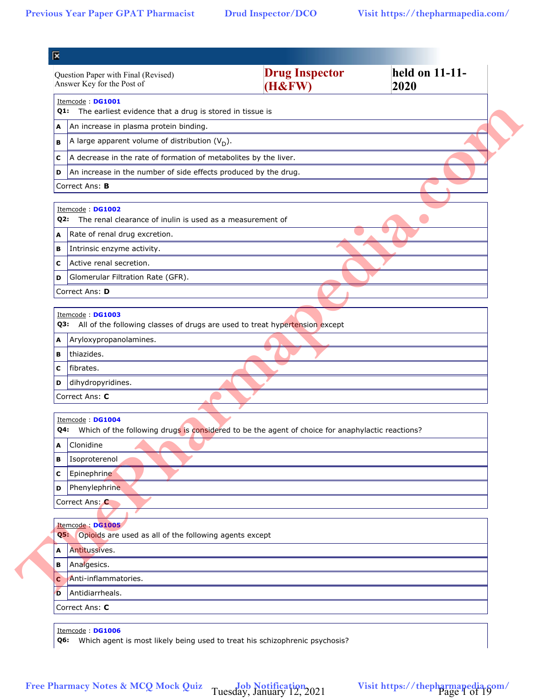| Question Paper with Final (Revised)<br>Answer Key for the Post of                                       | <b>Drug Inspector</b><br>(H& FW) | held on 11-11-<br>2020 |
|---------------------------------------------------------------------------------------------------------|----------------------------------|------------------------|
| Itemcode: DG1001<br>Q1: The earliest evidence that a drug is stored in tissue is                        |                                  |                        |
| An increase in plasma protein binding.<br>A                                                             |                                  |                        |
| A large apparent volume of distribution $(V_D)$ .<br>в                                                  |                                  |                        |
| A decrease in the rate of formation of metabolites by the liver.<br>с                                   |                                  |                        |
| An increase in the number of side effects produced by the drug.<br>D                                    |                                  |                        |
| Correct Ans: B                                                                                          |                                  |                        |
| Itemcode: DG1002<br>The renal clearance of inulin is used as a measurement of<br>Q2:                    |                                  |                        |
| Rate of renal drug excretion.<br>A                                                                      |                                  |                        |
| Intrinsic enzyme activity.<br>в                                                                         |                                  |                        |
| Active renal secretion.<br>c                                                                            |                                  |                        |
| Glomerular Filtration Rate (GFR).<br>D                                                                  |                                  |                        |
| Correct Ans: D                                                                                          |                                  |                        |
| Itemcode: DG1003<br>All of the following classes of drugs are used to treat hypertension except<br>Q3:  |                                  |                        |
| Aryloxypropanolamines.<br>A                                                                             |                                  |                        |
| thiazides.<br>в                                                                                         |                                  |                        |
| fibrates.<br>с                                                                                          |                                  |                        |
| dihydropyridines.<br>D                                                                                  |                                  |                        |
| Correct Ans: C                                                                                          |                                  |                        |
| Itemcode: DG1004                                                                                        |                                  |                        |
| Which of the following drugs is considered to be the agent of choice for anaphylactic reactions?<br>Q4: |                                  |                        |
| Clonidine<br>A                                                                                          |                                  |                        |
| Isoproterenol<br>в                                                                                      |                                  |                        |
| Epinephrine<br>С                                                                                        |                                  |                        |
| Phenylephrine<br>D                                                                                      |                                  |                        |
| Correct Ans: C                                                                                          |                                  |                        |
| Itemcode: DG1005<br>Opioids are used as all of the following agents except<br>Q5:                       |                                  |                        |
| Antitussives.<br>A                                                                                      |                                  |                        |
| Analgesics.<br>в                                                                                        |                                  |                        |
| Anti-inflammatories.<br>C                                                                               |                                  |                        |
| Antidiarrheals.<br>D                                                                                    |                                  |                        |
| Correct Ans: C                                                                                          |                                  |                        |
|                                                                                                         |                                  |                        |
| Itemcode: DG1006<br>Q6: Which agent is most likely being used to treat his schizophrenic psychosis?     |                                  |                        |

Tuesday, January 12, 2021 Visit https://thepharmapedia.com/<br>Page 1 of 19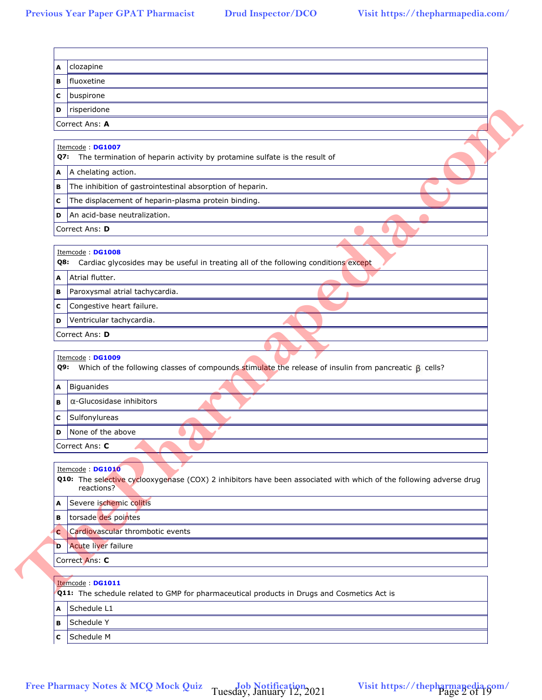| в           | clozapine<br>fluoxetine                                                                                                                                |
|-------------|--------------------------------------------------------------------------------------------------------------------------------------------------------|
| с           | buspirone                                                                                                                                              |
| D           | risperidone                                                                                                                                            |
|             | Correct Ans: A                                                                                                                                         |
|             |                                                                                                                                                        |
|             | Itemcode: DG1007                                                                                                                                       |
|             | Q7: The termination of heparin activity by protamine sulfate is the result of                                                                          |
| A           | A chelating action.                                                                                                                                    |
| в           | The inhibition of gastrointestinal absorption of heparin.                                                                                              |
| с           | The displacement of heparin-plasma protein binding.                                                                                                    |
| D           | An acid-base neutralization.                                                                                                                           |
|             | Correct Ans: D                                                                                                                                         |
|             | Itemcode: DG1008                                                                                                                                       |
|             | Cardiac glycosides may be useful in treating all of the following conditions except<br>Q8:                                                             |
| A           | Atrial flutter.                                                                                                                                        |
| В           | Paroxysmal atrial tachycardia.                                                                                                                         |
| с           | Congestive heart failure.                                                                                                                              |
| D           | Ventricular tachycardia.                                                                                                                               |
|             | Correct Ans: D                                                                                                                                         |
|             |                                                                                                                                                        |
|             | Itemcode: DG1009<br><b>Q9:</b> Which of the following classes of compounds stimulate the release of insulin from pancreatic $\beta$ cells?             |
|             |                                                                                                                                                        |
|             | Biguanides                                                                                                                                             |
|             | $\alpha$ -Glucosidase inhibitors                                                                                                                       |
| A<br>в<br>с | Sulfonylureas                                                                                                                                          |
| D           | None of the above                                                                                                                                      |
|             | Correct Ans: C                                                                                                                                         |
|             | Itemcode: DG1010<br>reactions?                                                                                                                         |
|             | Severe ischemic colitis                                                                                                                                |
| A<br>в      | torsade des pointes                                                                                                                                    |
|             | Q10: The selective cyclooxygenase (COX) 2 inhibitors have been associated with which of the following adverse drug<br>Cardiovascular thrombotic events |
|             | <b>Acute liver failure</b>                                                                                                                             |
|             | Correct Ans: C                                                                                                                                         |
|             | Itemcode: DG1011                                                                                                                                       |
| C<br>D      | Q11: The schedule related to GMP for pharmaceutical products in Drugs and Cosmetics Act is                                                             |
| A           | Schedule L1                                                                                                                                            |
| в           | Schedule Y<br>Schedule M                                                                                                                               |

Tuesday, January 12, 2021 Visit https://thepharmapedia.com/<br>Page 2 of 19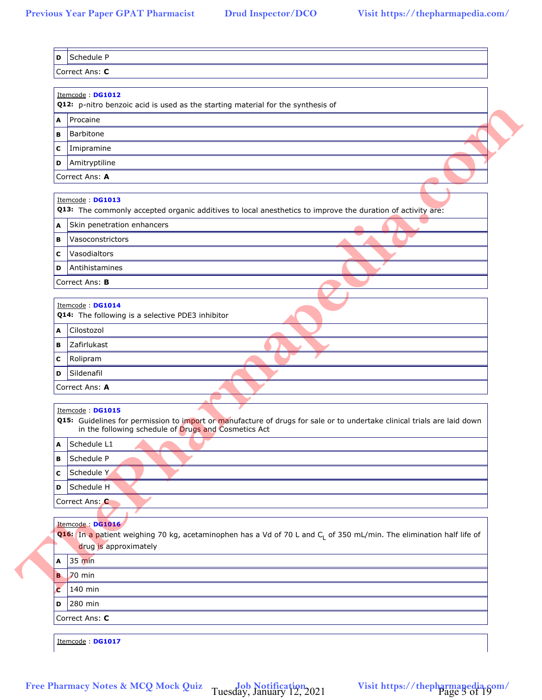|   | Itemcode: DG1012<br>Q12: p-nitro benzoic acid is used as the starting material for the synthesis of                                                                                                 |
|---|-----------------------------------------------------------------------------------------------------------------------------------------------------------------------------------------------------|
| A | Procaine                                                                                                                                                                                            |
| в | Barbitone                                                                                                                                                                                           |
| с | Imipramine                                                                                                                                                                                          |
| D | Amitryptiline                                                                                                                                                                                       |
|   | Correct Ans: A                                                                                                                                                                                      |
|   | Itemcode: DG1013                                                                                                                                                                                    |
|   | Q13: The commonly accepted organic additives to local anesthetics to improve the duration of activity are:                                                                                          |
| A | Skin penetration enhancers                                                                                                                                                                          |
| в | Vasoconstrictors                                                                                                                                                                                    |
| с | Vasodialtors<br>Antihistamines                                                                                                                                                                      |
| D | Correct Ans: B                                                                                                                                                                                      |
|   |                                                                                                                                                                                                     |
|   | Itemcode: DG1014<br>Q14: The following is a selective PDE3 inhibitor                                                                                                                                |
| A | Cilostozol                                                                                                                                                                                          |
| В | Zafirlukast                                                                                                                                                                                         |
| с | Rolipram                                                                                                                                                                                            |
| D | Sildenafil                                                                                                                                                                                          |
|   | Correct Ans: A                                                                                                                                                                                      |
|   |                                                                                                                                                                                                     |
|   | Itemcode: DG1015<br>Q15: Guidelines for permission to import or manufacture of drugs for sale or to undertake clinical trials are laid down<br>in the following schedule of Drugs and Cosmetics Act |
| A | Schedule L1                                                                                                                                                                                         |
| В | Schedule P                                                                                                                                                                                          |
| C | Schedule Y                                                                                                                                                                                          |
| D | Schedule H                                                                                                                                                                                          |
|   | Correct Ans: C                                                                                                                                                                                      |
|   | Itemcode: DG1016<br>Q16: In a patient weighing 70 kg, acetaminophen has a Vd of 70 L and C <sub>1</sub> of 350 mL/min. The elimination half life of<br>drug is approximately                        |
| A | $35 \text{ min}$                                                                                                                                                                                    |
|   | <b>B</b> 70 min                                                                                                                                                                                     |
| Ċ | 140 min                                                                                                                                                                                             |
| D | 280 min                                                                                                                                                                                             |
|   | Correct Ans: C                                                                                                                                                                                      |
|   | Itemcode: DG1017                                                                                                                                                                                    |

Tuesday, January 12, 2021 Visit https://thepharmapedia.com/<br>Page 3 of 19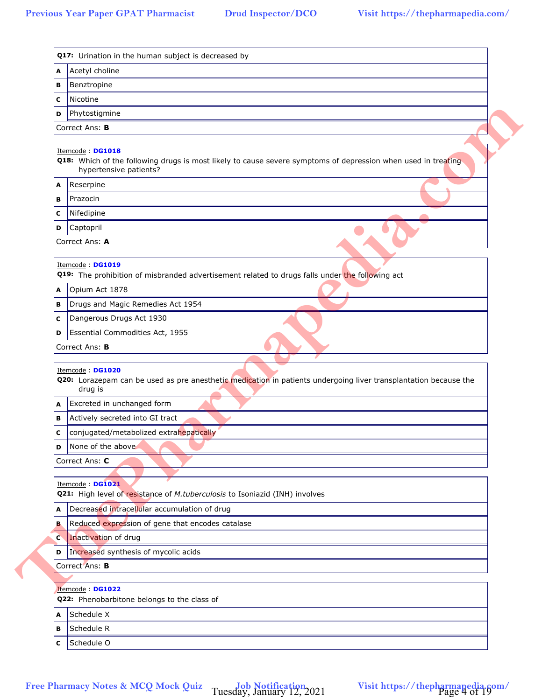| в | Benztropine                                                                                                                                     |
|---|-------------------------------------------------------------------------------------------------------------------------------------------------|
| с | Nicotine                                                                                                                                        |
| D | Phytostigmine                                                                                                                                   |
|   | Correct Ans: B                                                                                                                                  |
|   |                                                                                                                                                 |
|   | Itemcode: DG1018<br>Q18: Which of the following drugs is most likely to cause severe symptoms of depression when used in treating               |
|   | hypertensive patients?                                                                                                                          |
| A | Reserpine                                                                                                                                       |
| в | Prazocin                                                                                                                                        |
| с | Nifedipine                                                                                                                                      |
| D | Captopril                                                                                                                                       |
|   | Correct Ans: A                                                                                                                                  |
|   | Itemcode: DG1019                                                                                                                                |
|   | Q19: The prohibition of misbranded advertisement related to drugs falls under the following act                                                 |
| A | Opium Act 1878                                                                                                                                  |
| в | Drugs and Magic Remedies Act 1954                                                                                                               |
| с | Dangerous Drugs Act 1930                                                                                                                        |
| D | Essential Commodities Act, 1955                                                                                                                 |
|   | Correct Ans: B                                                                                                                                  |
|   |                                                                                                                                                 |
|   | Itemcode: DG1020<br>Q20: Lorazepam can be used as pre anesthetic medication in patients undergoing liver transplantation because the<br>drug is |
| A | Excreted in unchanged form                                                                                                                      |
| в | Actively secreted into GI tract                                                                                                                 |
| с | conjugated/metabolized extrahepatically                                                                                                         |
| D | None of the above                                                                                                                               |
|   | Correct Ans: C                                                                                                                                  |
|   |                                                                                                                                                 |
|   | Itemcode: DG1021<br>Q21: High level of resistance of M.tuberculosis to Isoniazid (INH) involves                                                 |
| A | Decreased intracellular accumulation of drug                                                                                                    |
| в | Reduced expression of gene that encodes catalase                                                                                                |
| C | Inactivation of drug                                                                                                                            |
| D | Increased synthesis of mycolic acids                                                                                                            |
|   | Correct Ans: B                                                                                                                                  |
|   |                                                                                                                                                 |
|   | Itemcode: DG1022<br>Q22: Phenobarbitone belongs to the class of                                                                                 |
|   | Schedule X                                                                                                                                      |
| A | Schedule R                                                                                                                                      |
| в | Schedule O                                                                                                                                      |
| с |                                                                                                                                                 |

Tuesday, January 12, 2021 Visit https://thepharmapedia.com/<br>Page 4 of 19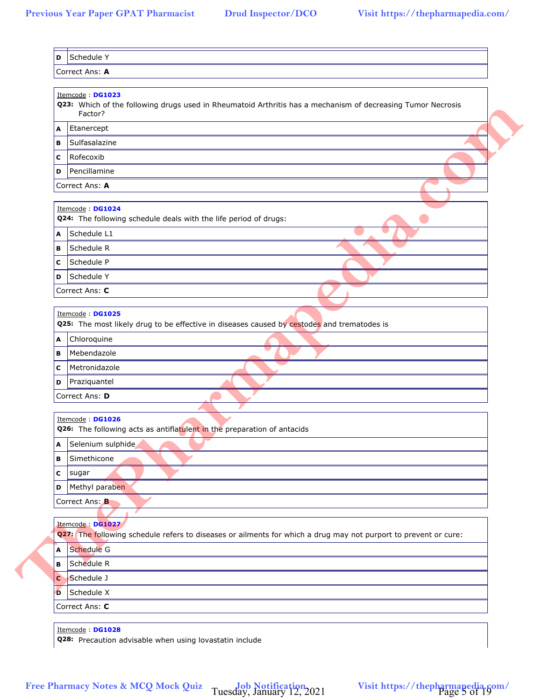|   | Itemcode: DG1023<br>Q23: Which of the following drugs used in Rheumatoid Arthritis has a mechanism of decreasing Tumor Necrosis     |
|---|-------------------------------------------------------------------------------------------------------------------------------------|
|   | Factor?                                                                                                                             |
|   | A Etanercept                                                                                                                        |
| в | Sulfasalazine                                                                                                                       |
| с | Rofecoxib                                                                                                                           |
| D | Pencillamine                                                                                                                        |
|   | Correct Ans: A                                                                                                                      |
|   | Itemcode: DG1024<br>Q24: The following schedule deals with the life period of drugs:                                                |
| A | Schedule L1                                                                                                                         |
| в | Schedule R                                                                                                                          |
| с | Schedule P                                                                                                                          |
| D | Schedule Y                                                                                                                          |
|   | Correct Ans: C                                                                                                                      |
|   |                                                                                                                                     |
|   | Itemcode: DG1025<br>Q25: The most likely drug to be effective in diseases caused by cestodes and trematodes is                      |
| A | Chloroquine                                                                                                                         |
| в | Mebendazole                                                                                                                         |
| с | Metronidazole                                                                                                                       |
| D | Praziquantel                                                                                                                        |
|   | Correct Ans: D                                                                                                                      |
|   |                                                                                                                                     |
|   | Itemcode: DG1026<br>Q26: The following acts as antiflatulent in the preparation of antacids                                         |
| A | Selenium sulphide                                                                                                                   |
| в | Simethicone                                                                                                                         |
| с | sugar                                                                                                                               |
| D | Methyl paraben                                                                                                                      |
|   | Correct Ans: B                                                                                                                      |
|   |                                                                                                                                     |
|   | Itemcode: DG1027<br>Q27: The following schedule refers to diseases or ailments for which a drug may not purport to prevent or cure: |
| A | Schedule G                                                                                                                          |
| В | Schedule R                                                                                                                          |
| C | Schedule J                                                                                                                          |
| D | Schedule X                                                                                                                          |
|   | Correct Ans: C                                                                                                                      |
|   | Itemcode: DG1028                                                                                                                    |
|   | Q28: Precaution advisable when using lovastatin include                                                                             |

Tuesday, January 12, 2021 Visit https://thepharmapedia.com/<br>Page 5 of 19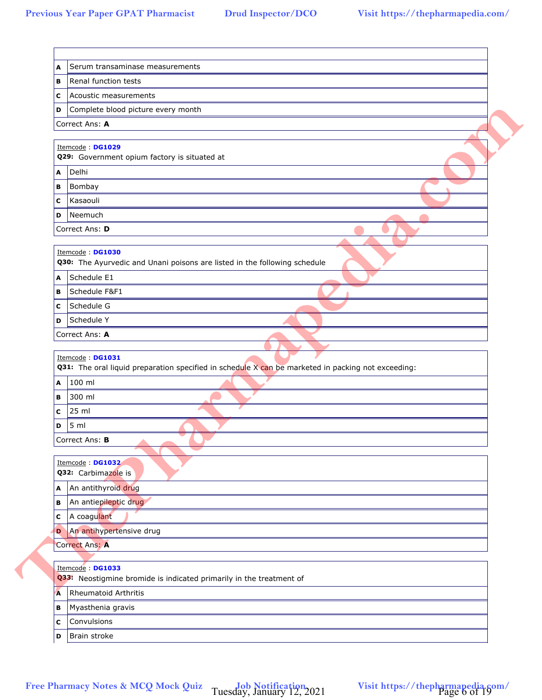| в      | Renal function tests                                                                                                             |
|--------|----------------------------------------------------------------------------------------------------------------------------------|
| с      | Acoustic measurements                                                                                                            |
| D      | Complete blood picture every month                                                                                               |
|        | Correct Ans: A                                                                                                                   |
|        |                                                                                                                                  |
|        | Itemcode: DG1029                                                                                                                 |
|        | Q29: Government opium factory is situated at<br>Delhi                                                                            |
| A      | Bombay                                                                                                                           |
| в<br>с | Kasaouli                                                                                                                         |
| D      | Neemuch                                                                                                                          |
|        | Correct Ans: D                                                                                                                   |
|        |                                                                                                                                  |
|        | Itemcode: DG1030<br>Q30: The Ayurvedic and Unani poisons are listed in the following schedule                                    |
| A      | Schedule E1                                                                                                                      |
| В      | Schedule F&F1                                                                                                                    |
| с      | Schedule G                                                                                                                       |
| D      | Schedule Y                                                                                                                       |
|        | Correct Ans: A                                                                                                                   |
| A      | Itemcode: DG1031<br>Q31: The oral liquid preparation specified in schedule X can be marketed in packing not exceeding:<br>100 ml |
| В      | 300 ml                                                                                                                           |
| с      | 25 ml                                                                                                                            |
| D      | 5 <sub>m</sub>                                                                                                                   |
|        | Correct Ans: B                                                                                                                   |
|        | Itemcode: DG1032<br>Q32: Carbimazole is                                                                                          |
| Α      | An antithyroid drug                                                                                                              |
| в      | An antiepileptic drug                                                                                                            |
| с      | A coagulant                                                                                                                      |
| D      | An antihypertensive drug                                                                                                         |
|        | Correct Ans: A                                                                                                                   |
|        | Itemcode: DG1033                                                                                                                 |
|        | Q33: Neostigmine bromide is indicated primarily in the treatment of                                                              |
| A      | <b>Rheumatoid Arthritis</b>                                                                                                      |
| в      | Myasthenia gravis                                                                                                                |
| C      | Convulsions                                                                                                                      |
|        | Brain stroke                                                                                                                     |
| D      |                                                                                                                                  |

Tuesday, January 12, 2021 Visit https://thepharmapedia.com/<br>Page 6 of 19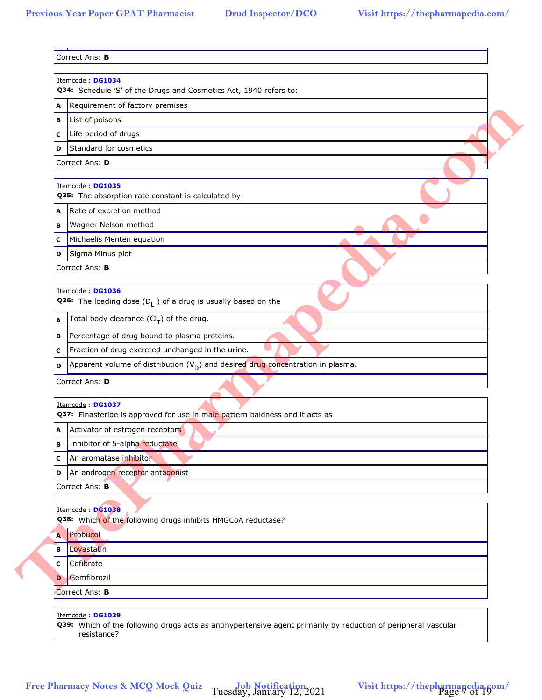|   | Q34: Schedule 'S' of the Drugs and Cosmetics Act, 1940 refers to:                                                                  |
|---|------------------------------------------------------------------------------------------------------------------------------------|
| A | Requirement of factory premises                                                                                                    |
| в | List of poisons                                                                                                                    |
| с | Life period of drugs                                                                                                               |
| D | Standard for cosmetics                                                                                                             |
|   | Correct Ans: D                                                                                                                     |
|   | Itemcode: DG1035<br>Q35: The absorption rate constant is calculated by:                                                            |
| A | Rate of excretion method                                                                                                           |
| в | Wagner Nelson method                                                                                                               |
| с | Michaelis Menten equation                                                                                                          |
| D | Sigma Minus plot                                                                                                                   |
|   | Correct Ans: B                                                                                                                     |
|   |                                                                                                                                    |
|   | Itemcode: DG1036<br><b>Q36:</b> The loading dose $(D_1)$ of a drug is usually based on the                                         |
| A | Total body clearance $(Cl_T)$ of the drug.                                                                                         |
| в | Percentage of drug bound to plasma proteins.                                                                                       |
| с | Fraction of drug excreted unchanged in the urine.                                                                                  |
| D | Apparent volume of distribution $(V_D)$ and desired drug concentration in plasma.                                                  |
|   | Correct Ans: D                                                                                                                     |
|   | Itemcode: DG1037                                                                                                                   |
|   | Q37: Finasteride is approved for use in male pattern baldness and it acts as                                                       |
| A | Activator of estrogen receptors                                                                                                    |
| В | Inhibitor of 5-alpha reductase                                                                                                     |
| c | An aromatase inhibitor                                                                                                             |
| D | An androgen receptor antagonist                                                                                                    |
|   | Correct Ans: B                                                                                                                     |
|   | Itemcode : DG1038                                                                                                                  |
|   | Q38: Which of the following drugs inhibits HMGCoA reductase?                                                                       |
| A | Probucol                                                                                                                           |
| в | Lovastatin                                                                                                                         |
| C | Cofibrate                                                                                                                          |
| D | Gemfibrozil                                                                                                                        |
|   | Correct Ans: B                                                                                                                     |
|   | Itemcode: DG1039<br>Q39: Which of the following drugs acts as antihypertensive agent primarily by reduction of peripheral vascular |

Tuesday, January 12, 2021 Visit https://thepharmapedia.com/<br>Page 7 of 19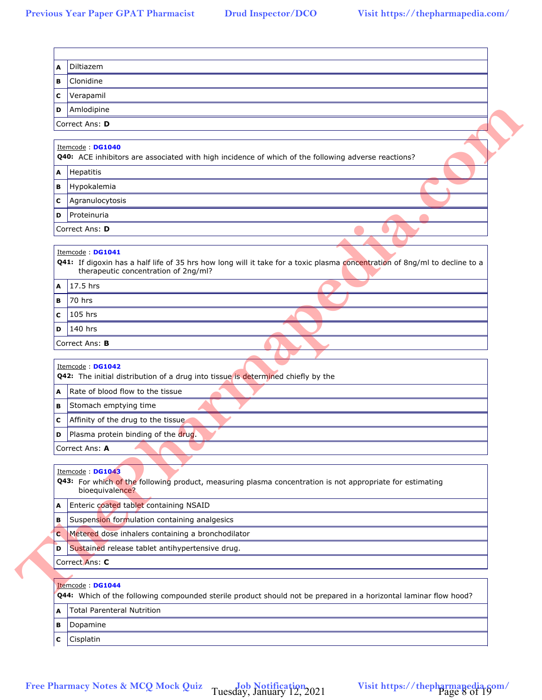| в      | Clonidine                                                                                                                                                          |
|--------|--------------------------------------------------------------------------------------------------------------------------------------------------------------------|
| с      | Verapamil                                                                                                                                                          |
| D      | Amlodipine                                                                                                                                                         |
|        | Correct Ans: D                                                                                                                                                     |
|        |                                                                                                                                                                    |
|        | Itemcode: DG1040<br>Q40: ACE inhibitors are associated with high incidence of which of the following adverse reactions?                                            |
| A      | Hepatitis                                                                                                                                                          |
| в      | Hypokalemia                                                                                                                                                        |
| с      | Agranulocytosis                                                                                                                                                    |
| D      | Proteinuria                                                                                                                                                        |
|        | Correct Ans: D                                                                                                                                                     |
|        |                                                                                                                                                                    |
|        | Itemcode: DG1041                                                                                                                                                   |
|        | Q41: If digoxin has a half life of 35 hrs how long will it take for a toxic plasma concentration of 8ng/ml to decline to a<br>therapeutic concentration of 2ng/ml? |
| A      | 17.5 hrs                                                                                                                                                           |
| в      | 70 hrs                                                                                                                                                             |
| c      | 105 hrs                                                                                                                                                            |
| D      | 140 hrs                                                                                                                                                            |
|        | Correct Ans: <b>B</b>                                                                                                                                              |
| A      | Q42: The initial distribution of a drug into tissue is determined chiefly by the<br>Rate of blood flow to the tissue                                               |
| в      | Stomach emptying time                                                                                                                                              |
| с      | Affinity of the drug to the tissue                                                                                                                                 |
| D      | Plasma protein binding of the drug.                                                                                                                                |
|        | Correct Ans: A                                                                                                                                                     |
|        | Itemcode: DG1043                                                                                                                                                   |
|        | Q43: For which of the following product, measuring plasma concentration is not appropriate for estimating                                                          |
|        | bioequivalence?                                                                                                                                                    |
| A      | Enteric coated tablet containing NSAID                                                                                                                             |
| в      | Suspension formulation containing analgesics                                                                                                                       |
| C<br>D | Metered dose inhalers containing a bronchodilator<br>Sustained release tablet antihypertensive drug.                                                               |
|        | Correct Ans: C                                                                                                                                                     |
|        |                                                                                                                                                                    |
|        |                                                                                                                                                                    |
|        | Itemcode: DG1044                                                                                                                                                   |
|        | Q44: Which of the following compounded sterile product should not be prepared in a horizontal laminar flow hood?                                                   |
| A      | <b>Total Parenteral Nutrition</b>                                                                                                                                  |
| в      | Dopamine<br>Cisplatin                                                                                                                                              |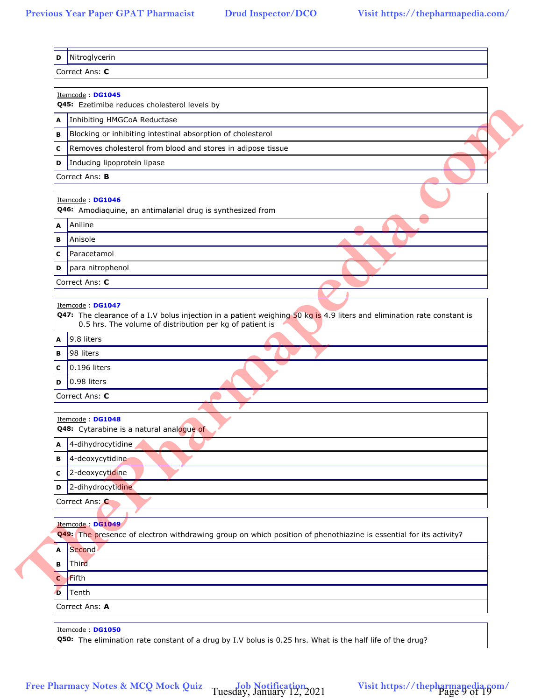|   | Itemcode: DG1045                                                                                                                                                                                       |
|---|--------------------------------------------------------------------------------------------------------------------------------------------------------------------------------------------------------|
|   | Q45: Ezetimibe reduces cholesterol levels by                                                                                                                                                           |
| A | Inhibiting HMGCoA Reductase                                                                                                                                                                            |
| в | Blocking or inhibiting intestinal absorption of cholesterol                                                                                                                                            |
| с | Removes cholesterol from blood and stores in adipose tissue                                                                                                                                            |
| D | Inducing lipoprotein lipase                                                                                                                                                                            |
|   | Correct Ans: <b>B</b>                                                                                                                                                                                  |
|   | Itemcode: DG1046<br>Q46: Amodiaquine, an antimalarial drug is synthesized from                                                                                                                         |
| A | Aniline                                                                                                                                                                                                |
| в | Anisole                                                                                                                                                                                                |
| с | Paracetamol                                                                                                                                                                                            |
| D | para nitrophenol                                                                                                                                                                                       |
|   | Correct Ans: C                                                                                                                                                                                         |
|   |                                                                                                                                                                                                        |
|   | Itemcode: DG1047<br>Q47: The clearance of a I.V bolus injection in a patient weighing 50 kg is 4.9 liters and elimination rate constant is<br>0.5 hrs. The volume of distribution per kg of patient is |
| A | 9.8 liters                                                                                                                                                                                             |
| в | 98 liters                                                                                                                                                                                              |
| с | 0.196 liters                                                                                                                                                                                           |
| D | 0.98 liters                                                                                                                                                                                            |
|   | Correct Ans: C                                                                                                                                                                                         |
|   | Itemcode: DG1048                                                                                                                                                                                       |
|   | Q48: Cytarabine is a natural analogue of                                                                                                                                                               |
|   | A 4-dihydrocytidine                                                                                                                                                                                    |
| в | 4-deoxycytidine                                                                                                                                                                                        |
| с | 2-deoxycytidine                                                                                                                                                                                        |
| D | 2-dihydrocytidine                                                                                                                                                                                      |
|   | Correct Ans: C                                                                                                                                                                                         |
|   | Itemcode: DG1049<br>Q49: The presence of electron withdrawing group on which position of phenothiazine is essential for its activity?                                                                  |
| A | Second                                                                                                                                                                                                 |
| в | Third                                                                                                                                                                                                  |
| C | Fifth                                                                                                                                                                                                  |
| Ð | Tenth                                                                                                                                                                                                  |
|   | Correct Ans: A                                                                                                                                                                                         |
|   | Itemcode: DG1050<br>Q50: The elimination rate constant of a drug by I.V bolus is 0.25 hrs. What is the half life of the drug?                                                                          |

Tuesday, January 12, 2021 Visit https://thepharmapedia.com/<br>Page 9 of 19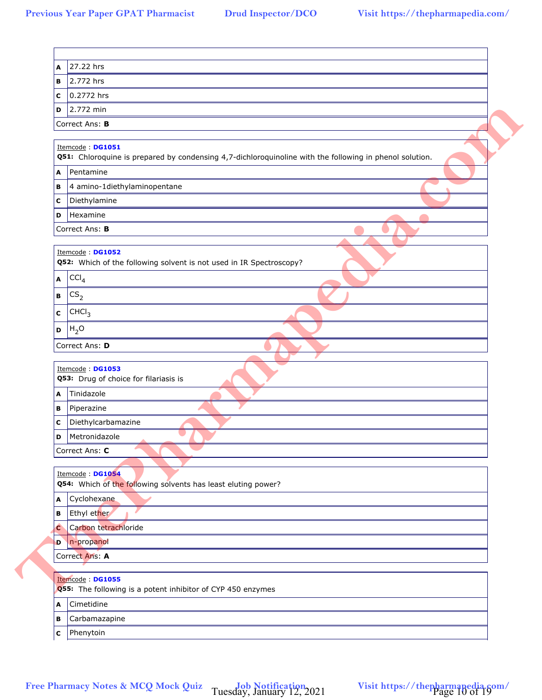| в | 2.772 hrs                                                                                                                   |
|---|-----------------------------------------------------------------------------------------------------------------------------|
| с | 0.2772 hrs                                                                                                                  |
| D | 2.772 min                                                                                                                   |
|   | Correct Ans: B                                                                                                              |
|   |                                                                                                                             |
|   | Itemcode: DG1051<br>Q51: Chloroquine is prepared by condensing 4,7-dichloroquinoline with the following in phenol solution. |
| A | Pentamine                                                                                                                   |
| в | 4 amino-1diethylaminopentane                                                                                                |
| С | Diethylamine                                                                                                                |
| D | Hexamine                                                                                                                    |
|   | Correct Ans: B                                                                                                              |
|   |                                                                                                                             |
|   | Itemcode: DG1052<br>Q52: Which of the following solvent is not used in IR Spectroscopy?                                     |
| A | CCI <sub>4</sub>                                                                                                            |
| В | CS <sub>2</sub>                                                                                                             |
|   |                                                                                                                             |
| С | CHCl <sub>3</sub>                                                                                                           |
| D | $H_2O$                                                                                                                      |
|   | Correct Ans: D                                                                                                              |
|   | Itemcode: DG1053<br>Q53: Drug of choice for filariasis is                                                                   |
| A | Tinidazole                                                                                                                  |
| В | Piperazine                                                                                                                  |
| C | Diethylcarbamazine                                                                                                          |
| D | Metronidazole                                                                                                               |
|   | Correct Ans: C                                                                                                              |
|   |                                                                                                                             |
|   | Itemcode: DG1054<br>Q54: Which of the following solvents has least eluting power?                                           |
| Α | Cyclohexane                                                                                                                 |
| В | Ethyl ether                                                                                                                 |
| c | Carbon tetrachloride                                                                                                        |
| D | n-propanol                                                                                                                  |
|   | Correct Ans: A                                                                                                              |
|   |                                                                                                                             |
|   | Itemcode: DG1055<br>Q55: The following is a potent inhibitor of CYP 450 enzymes                                             |
| A | Cimetidine                                                                                                                  |
| в | Carbamazapine                                                                                                               |
| C | Phenytoin                                                                                                                   |

Tuesday, January 12, 2021 Visit https://thepharmapedia.com/<br>Page 10 of 19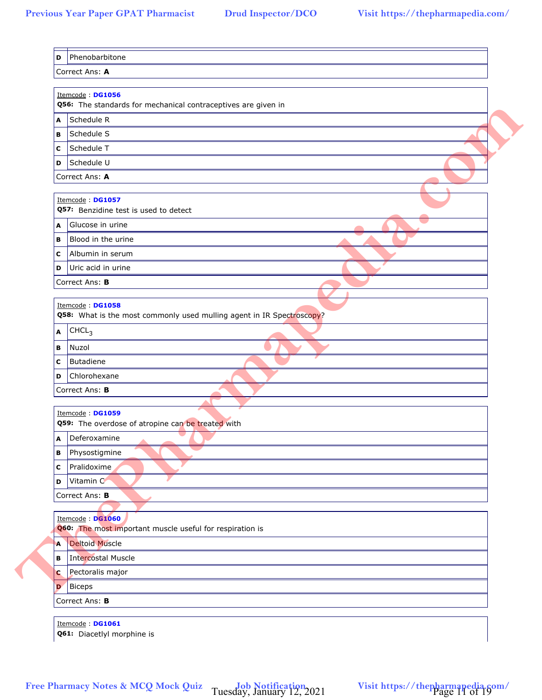|          | Itemcode: DG1056<br>Q56: The standards for mechanical contraceptives are given in |
|----------|-----------------------------------------------------------------------------------|
| A        | Schedule R                                                                        |
| В        | Schedule S                                                                        |
| с        | Schedule T                                                                        |
| D        | Schedule U                                                                        |
|          | Correct Ans: A                                                                    |
|          | Itemcode: DG1057                                                                  |
|          | Q57: Benzidine test is used to detect                                             |
| A        | Glucose in urine                                                                  |
| В        | Blood in the urine                                                                |
| с        | Albumin in serum                                                                  |
| D        | Uric acid in urine                                                                |
|          | Correct Ans: B                                                                    |
|          | Itemcode: DG1058                                                                  |
|          | Q58: What is the most commonly used mulling agent in IR Spectroscopy?             |
| A        | CHCL <sub>3</sub>                                                                 |
| в        | Nuzol                                                                             |
| C        | Butadiene                                                                         |
| D        | Chlorohexane                                                                      |
|          | Correct Ans: B                                                                    |
|          |                                                                                   |
|          | Itemcode: DG1059<br>Q59: The overdose of atropine can be treated with             |
|          | A Deferoxamine<br>$\triangle$                                                     |
| В        | Physostigmine                                                                     |
| c        | Pralidoxime                                                                       |
| D        | Vitamin C                                                                         |
|          | Correct Ans: B                                                                    |
|          |                                                                                   |
|          | Itemcode : DG1060<br>Q60: The most important muscle useful for respiration is     |
| A        | <b>Deltoid Muscle</b>                                                             |
| в        | <b>Intercostal Muscle</b>                                                         |
| <b>C</b> | Pectoralis major                                                                  |
| D        | <b>Biceps</b>                                                                     |
|          | Correct Ans: B                                                                    |
|          |                                                                                   |
|          | Itemcode: DG1061<br>Q61: Diacetlyl morphine is                                    |

Tuesday, January 12, 2021 Visit https://thepharmapedia.com/<br>Page 11 of 19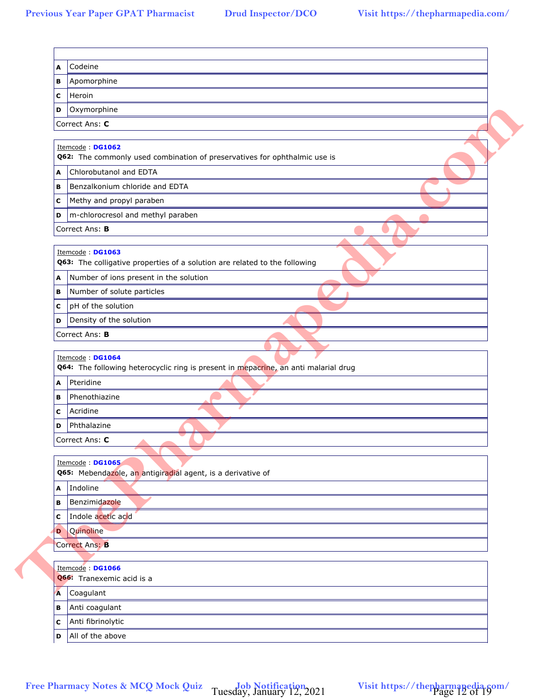| A | Codeine                                                                                                 |
|---|---------------------------------------------------------------------------------------------------------|
| в | Apomorphine                                                                                             |
| с | Heroin                                                                                                  |
| D | Oxymorphine                                                                                             |
|   | Correct Ans: C                                                                                          |
|   | Itemcode: DG1062                                                                                        |
|   | Q62: The commonly used combination of preservatives for ophthalmic use is                               |
| A | Chlorobutanol and EDTA                                                                                  |
| в | Benzalkonium chloride and EDTA                                                                          |
| C | Methy and propyl paraben                                                                                |
| D | m-chlorocresol and methyl paraben                                                                       |
|   | Correct Ans: B                                                                                          |
|   | Itemcode: DG1063                                                                                        |
|   | Q63: The colligative properties of a solution are related to the following                              |
| A | Number of ions present in the solution                                                                  |
| в | Number of solute particles                                                                              |
| с | pH of the solution                                                                                      |
| D | Density of the solution                                                                                 |
|   | Correct Ans: B                                                                                          |
|   |                                                                                                         |
|   | Itemcode: DG1064<br>Q64: The following heterocyclic ring is present in mepacrine, an anti malarial drug |
| A | Pteridine                                                                                               |
| В | Phenothiazine                                                                                           |
| с | Acridine                                                                                                |
| D | Phthalazine                                                                                             |
|   | Correct Ans: C                                                                                          |
|   | Itemcode: DG1065                                                                                        |
|   | Q65: Mebendazole, an antigiradial agent, is a derivative of                                             |
|   | A Indoline                                                                                              |
| в | Benzimidazole                                                                                           |
| с | Indole acetic acid                                                                                      |
| D | Quinoline                                                                                               |
|   | Correct Ans: B                                                                                          |
|   |                                                                                                         |
|   | Itemcode: DG1066<br>Q66: Tranexemic acid is a                                                           |
| A | Coagulant                                                                                               |
| в | Anti coagulant                                                                                          |
| с | Anti fibrinolytic                                                                                       |
|   | All of the above                                                                                        |
| D |                                                                                                         |

Tuesday, January 12, 2021 Visit https://thepharmapedia.com/<br>Page 12 of 19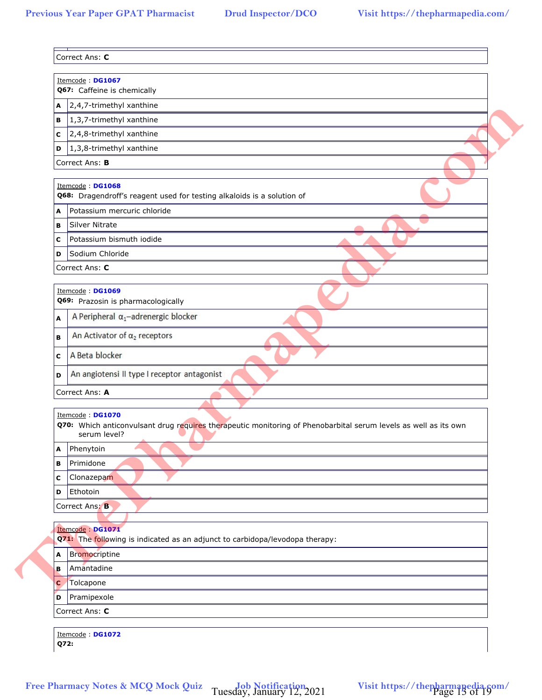|              | Itemcode: DG1067<br>Q67: Caffeine is chemically                                                                                      |
|--------------|--------------------------------------------------------------------------------------------------------------------------------------|
| A            | 2,4,7-trimethyl xanthine                                                                                                             |
| в            | 1,3,7-trimethyl xanthine                                                                                                             |
| с            | 2,4,8-trimethyl xanthine                                                                                                             |
| D            | 1,3,8-trimethyl xanthine                                                                                                             |
|              | Correct Ans: B                                                                                                                       |
|              | Itemcode: DG1068<br>Q68: Dragendroff's reagent used for testing alkaloids is a solution of                                           |
| A            | Potassium mercuric chloride                                                                                                          |
| в            | <b>Silver Nitrate</b>                                                                                                                |
| с            | Potassium bismuth iodide                                                                                                             |
| D            | Sodium Chloride                                                                                                                      |
|              | Correct Ans: C                                                                                                                       |
|              | Itemcode: DG1069                                                                                                                     |
|              | Q69: Prazosin is pharmacologically                                                                                                   |
| A            | A Peripheral $\alpha_1$ -adrenergic blocker                                                                                          |
| в            | An Activator of $\alpha_2$ receptors                                                                                                 |
| C            | A Beta blocker                                                                                                                       |
| D            | An angiotensi II type I receptor antagonist                                                                                          |
|              | Correct Ans: A                                                                                                                       |
|              | Itemcode: DG1070                                                                                                                     |
|              | Q70: Which anticonvulsant drug requires therapeutic monitoring of Phenobarbital serum levels as well as its own<br>serum level?<br>▲ |
| A            | Phenytoin                                                                                                                            |
| в            | Primidone                                                                                                                            |
| с            | Clonazepam                                                                                                                           |
| D            | Ethotoin                                                                                                                             |
|              | Correct Ans: B                                                                                                                       |
|              | Itemcode: DG1071<br>Q71: The following is indicated as an adjunct to carbidopa/levodopa therapy:                                     |
| A            | Bromocriptine                                                                                                                        |
| в            | Amantadine                                                                                                                           |
| $\mathbf{C}$ | Tolcapone                                                                                                                            |
| D            | Pramipexole                                                                                                                          |
|              | Correct Ans: C                                                                                                                       |
| Q72:         | Itemcode: DG1072                                                                                                                     |

Tuesday, January 12, 2021 Visit https://thepharmapedia.com/<br>Page 13 of 19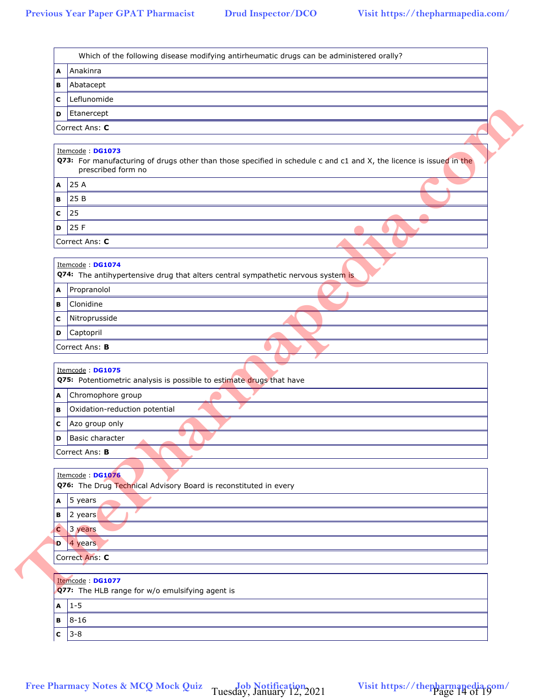| в           | Abatacept                                                                                                                               |
|-------------|-----------------------------------------------------------------------------------------------------------------------------------------|
| с           | Leflunomide                                                                                                                             |
| D           | Etanercept                                                                                                                              |
|             | Correct Ans: C                                                                                                                          |
|             |                                                                                                                                         |
|             | Itemcode: DG1073<br>Q73: For manufacturing of drugs other than those specified in schedule c and c1 and X, the licence is issued in the |
|             | prescribed form no                                                                                                                      |
| A           | 25 A                                                                                                                                    |
| в           | 25 B                                                                                                                                    |
| с           | 25                                                                                                                                      |
| D           | 25 F                                                                                                                                    |
|             | Correct Ans: C                                                                                                                          |
|             |                                                                                                                                         |
|             | Itemcode: DG1074<br>Q74: The antihypertensive drug that alters central sympathetic nervous system is                                    |
| Α           | Propranolol                                                                                                                             |
| в           | Clonidine                                                                                                                               |
| с           | Nitroprusside                                                                                                                           |
| D           | Captopril                                                                                                                               |
|             | Correct Ans: B                                                                                                                          |
|             |                                                                                                                                         |
|             | Itemcode: DG1075                                                                                                                        |
|             | Q75: Potentiometric analysis is possible to estimate drugs that have                                                                    |
| A           | Chromophore group                                                                                                                       |
| в           | Oxidation-reduction potential                                                                                                           |
| с           | Azo group only                                                                                                                          |
| D           | Basic character                                                                                                                         |
|             | Correct Ans: B                                                                                                                          |
|             | Itemcode: DG1076                                                                                                                        |
|             | Q76: The Drug Technical Advisory Board is reconstituted in every                                                                        |
| A           | 5 years                                                                                                                                 |
| в           | 2 years                                                                                                                                 |
| $\mathbf c$ | 3 years                                                                                                                                 |
|             | <b>D</b> 4 years                                                                                                                        |
|             | Correct Ans: C                                                                                                                          |
|             |                                                                                                                                         |
|             | Itemcode : DG1077<br>Q77: The HLB range for w/o emulsifying agent is                                                                    |
| A           | $1 - 5$                                                                                                                                 |
| В           | $8 - 16$                                                                                                                                |
|             | $3 - 8$                                                                                                                                 |
| C           |                                                                                                                                         |

Tuesday, January 12, 2021 Visit https://thepharmapedia.com/<br>Page 14 of 19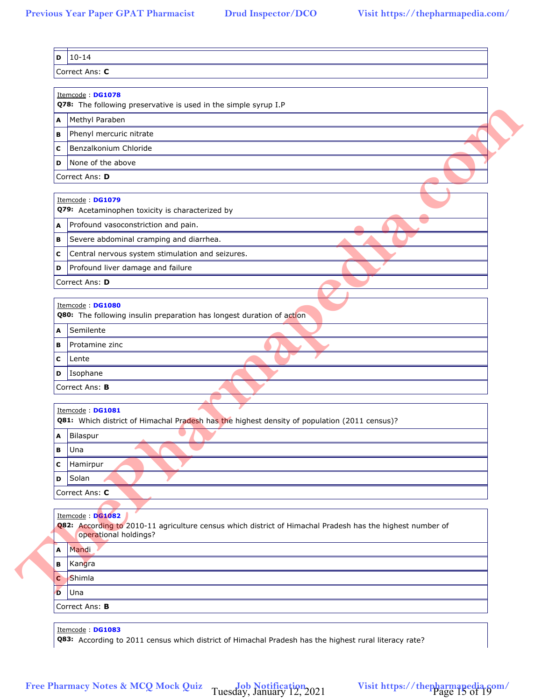|    | Itemcode: DG1078<br>Q78: The following preservative is used in the simple syrup I.P                                                                     |
|----|---------------------------------------------------------------------------------------------------------------------------------------------------------|
| A  | Methyl Paraben                                                                                                                                          |
| в  | Phenyl mercuric nitrate                                                                                                                                 |
| с  | Benzalkonium Chloride                                                                                                                                   |
| D  | None of the above                                                                                                                                       |
|    | Correct Ans: D                                                                                                                                          |
|    |                                                                                                                                                         |
|    | Itemcode: DG1079<br>Q79: Acetaminophen toxicity is characterized by                                                                                     |
| A  | Profound vasoconstriction and pain.                                                                                                                     |
| в  | Severe abdominal cramping and diarrhea.                                                                                                                 |
| с  | Central nervous system stimulation and seizures.                                                                                                        |
| D  | Profound liver damage and failure                                                                                                                       |
|    | Correct Ans: D                                                                                                                                          |
|    |                                                                                                                                                         |
|    | Itemcode: DG1080<br>Q80: The following insulin preparation has longest duration of action                                                               |
| A  | Semilente                                                                                                                                               |
| в  | Protamine zinc                                                                                                                                          |
| с  | Lente                                                                                                                                                   |
|    | <b>D</b> Isophane                                                                                                                                       |
|    | Correct Ans: <b>B</b>                                                                                                                                   |
|    |                                                                                                                                                         |
|    | Itemcode: DG1081<br>Q81: Which district of Himachal Pradesh has the highest density of population (2011 census)?                                        |
| A  | Bilaspur                                                                                                                                                |
| в  | Una                                                                                                                                                     |
| с  | Hamirpur                                                                                                                                                |
| D  | Solan                                                                                                                                                   |
|    | Correct Ans: C                                                                                                                                          |
|    |                                                                                                                                                         |
|    | Itemcode : DG1082<br>Q82: According to 2010-11 agriculture census which district of Himachal Pradesh has the highest number of<br>operational holdings? |
| Α  | Mandi                                                                                                                                                   |
| в  | Kangra                                                                                                                                                  |
| C  | Shimla                                                                                                                                                  |
| Đ. | Una                                                                                                                                                     |
|    | Correct Ans: B                                                                                                                                          |
|    |                                                                                                                                                         |
|    | Itemcode: DG1083<br>Q83: According to 2011 census which district of Himachal Pradesh has the highest rural literacy rate?                               |

Tuesday, January 12, 2021 Visit https://thepharmapedia.com/<br>Page 15 of 19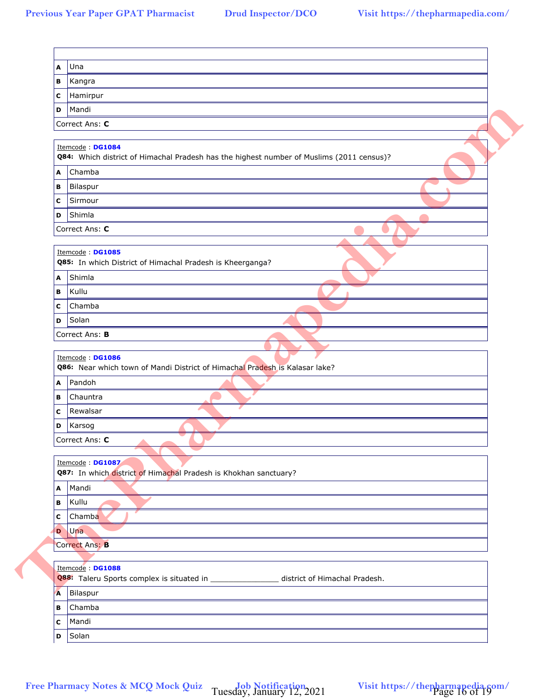| в<br>Hamirpur<br>с<br>Mandi<br>D<br>Correct Ans: C<br>Itemcode: DG1084<br>Q84: Which district of Himachal Pradesh has the highest number of Muslims (2011 census)?<br>Chamba<br>A<br>Bilaspur<br>в<br>Sirmour<br>с<br>Shimla<br>D<br>Correct Ans: C<br>Itemcode: DG1085<br>Q85: In which District of Himachal Pradesh is Kheerganga?<br>A Shimla<br>Kullu<br>в<br>Chamba<br>с<br>Solan<br>D<br>Correct Ans: B<br>Itemcode: DG1086<br>Q86: Near which town of Mandi District of Himachal Pradesh is Kalasar lake?<br>Pandoh<br>Α<br>Chauntra<br>В<br>Rewalsar<br>С<br>Karsog<br>D<br>Correct Ans: C<br>Itemcode: DG1087<br>Q87: In which district of Himachal Pradesh is Khokhan sanctuary?<br>A Mandi<br>Kullu<br>В<br>Chamba<br>C<br><b>D</b> Una<br>Correct Ans: B<br>Itemcode: DG1088<br>Q88: Taleru Sports complex is situated in __________________ district of Himachal Pradesh.<br>A Bilaspur<br>Chamba<br>в<br>Mandi<br>С | A | Una    |
|-----------------------------------------------------------------------------------------------------------------------------------------------------------------------------------------------------------------------------------------------------------------------------------------------------------------------------------------------------------------------------------------------------------------------------------------------------------------------------------------------------------------------------------------------------------------------------------------------------------------------------------------------------------------------------------------------------------------------------------------------------------------------------------------------------------------------------------------------------------------------------------------------------------------------------------|---|--------|
|                                                                                                                                                                                                                                                                                                                                                                                                                                                                                                                                                                                                                                                                                                                                                                                                                                                                                                                                   |   | Kangra |
|                                                                                                                                                                                                                                                                                                                                                                                                                                                                                                                                                                                                                                                                                                                                                                                                                                                                                                                                   |   |        |
|                                                                                                                                                                                                                                                                                                                                                                                                                                                                                                                                                                                                                                                                                                                                                                                                                                                                                                                                   |   |        |
|                                                                                                                                                                                                                                                                                                                                                                                                                                                                                                                                                                                                                                                                                                                                                                                                                                                                                                                                   |   |        |
|                                                                                                                                                                                                                                                                                                                                                                                                                                                                                                                                                                                                                                                                                                                                                                                                                                                                                                                                   |   |        |
|                                                                                                                                                                                                                                                                                                                                                                                                                                                                                                                                                                                                                                                                                                                                                                                                                                                                                                                                   |   |        |
|                                                                                                                                                                                                                                                                                                                                                                                                                                                                                                                                                                                                                                                                                                                                                                                                                                                                                                                                   |   |        |
|                                                                                                                                                                                                                                                                                                                                                                                                                                                                                                                                                                                                                                                                                                                                                                                                                                                                                                                                   |   |        |
|                                                                                                                                                                                                                                                                                                                                                                                                                                                                                                                                                                                                                                                                                                                                                                                                                                                                                                                                   |   |        |
|                                                                                                                                                                                                                                                                                                                                                                                                                                                                                                                                                                                                                                                                                                                                                                                                                                                                                                                                   |   |        |
|                                                                                                                                                                                                                                                                                                                                                                                                                                                                                                                                                                                                                                                                                                                                                                                                                                                                                                                                   |   |        |
|                                                                                                                                                                                                                                                                                                                                                                                                                                                                                                                                                                                                                                                                                                                                                                                                                                                                                                                                   |   |        |
|                                                                                                                                                                                                                                                                                                                                                                                                                                                                                                                                                                                                                                                                                                                                                                                                                                                                                                                                   |   |        |
|                                                                                                                                                                                                                                                                                                                                                                                                                                                                                                                                                                                                                                                                                                                                                                                                                                                                                                                                   |   |        |
|                                                                                                                                                                                                                                                                                                                                                                                                                                                                                                                                                                                                                                                                                                                                                                                                                                                                                                                                   |   |        |
|                                                                                                                                                                                                                                                                                                                                                                                                                                                                                                                                                                                                                                                                                                                                                                                                                                                                                                                                   |   |        |
|                                                                                                                                                                                                                                                                                                                                                                                                                                                                                                                                                                                                                                                                                                                                                                                                                                                                                                                                   |   |        |
|                                                                                                                                                                                                                                                                                                                                                                                                                                                                                                                                                                                                                                                                                                                                                                                                                                                                                                                                   |   |        |
|                                                                                                                                                                                                                                                                                                                                                                                                                                                                                                                                                                                                                                                                                                                                                                                                                                                                                                                                   |   |        |
|                                                                                                                                                                                                                                                                                                                                                                                                                                                                                                                                                                                                                                                                                                                                                                                                                                                                                                                                   |   |        |
|                                                                                                                                                                                                                                                                                                                                                                                                                                                                                                                                                                                                                                                                                                                                                                                                                                                                                                                                   |   |        |
|                                                                                                                                                                                                                                                                                                                                                                                                                                                                                                                                                                                                                                                                                                                                                                                                                                                                                                                                   |   |        |
|                                                                                                                                                                                                                                                                                                                                                                                                                                                                                                                                                                                                                                                                                                                                                                                                                                                                                                                                   |   |        |
|                                                                                                                                                                                                                                                                                                                                                                                                                                                                                                                                                                                                                                                                                                                                                                                                                                                                                                                                   |   |        |
|                                                                                                                                                                                                                                                                                                                                                                                                                                                                                                                                                                                                                                                                                                                                                                                                                                                                                                                                   |   |        |
|                                                                                                                                                                                                                                                                                                                                                                                                                                                                                                                                                                                                                                                                                                                                                                                                                                                                                                                                   |   |        |
|                                                                                                                                                                                                                                                                                                                                                                                                                                                                                                                                                                                                                                                                                                                                                                                                                                                                                                                                   |   |        |
|                                                                                                                                                                                                                                                                                                                                                                                                                                                                                                                                                                                                                                                                                                                                                                                                                                                                                                                                   |   |        |
|                                                                                                                                                                                                                                                                                                                                                                                                                                                                                                                                                                                                                                                                                                                                                                                                                                                                                                                                   |   |        |
|                                                                                                                                                                                                                                                                                                                                                                                                                                                                                                                                                                                                                                                                                                                                                                                                                                                                                                                                   |   |        |
|                                                                                                                                                                                                                                                                                                                                                                                                                                                                                                                                                                                                                                                                                                                                                                                                                                                                                                                                   |   |        |
|                                                                                                                                                                                                                                                                                                                                                                                                                                                                                                                                                                                                                                                                                                                                                                                                                                                                                                                                   |   |        |
|                                                                                                                                                                                                                                                                                                                                                                                                                                                                                                                                                                                                                                                                                                                                                                                                                                                                                                                                   |   |        |
|                                                                                                                                                                                                                                                                                                                                                                                                                                                                                                                                                                                                                                                                                                                                                                                                                                                                                                                                   |   |        |
|                                                                                                                                                                                                                                                                                                                                                                                                                                                                                                                                                                                                                                                                                                                                                                                                                                                                                                                                   |   |        |
|                                                                                                                                                                                                                                                                                                                                                                                                                                                                                                                                                                                                                                                                                                                                                                                                                                                                                                                                   |   |        |
|                                                                                                                                                                                                                                                                                                                                                                                                                                                                                                                                                                                                                                                                                                                                                                                                                                                                                                                                   |   |        |
|                                                                                                                                                                                                                                                                                                                                                                                                                                                                                                                                                                                                                                                                                                                                                                                                                                                                                                                                   |   |        |
| <b>D</b> Solan                                                                                                                                                                                                                                                                                                                                                                                                                                                                                                                                                                                                                                                                                                                                                                                                                                                                                                                    |   |        |

Tuesday, January 12, 2021 Visit https://thepharmapedia.com/<br>Page 16 of 19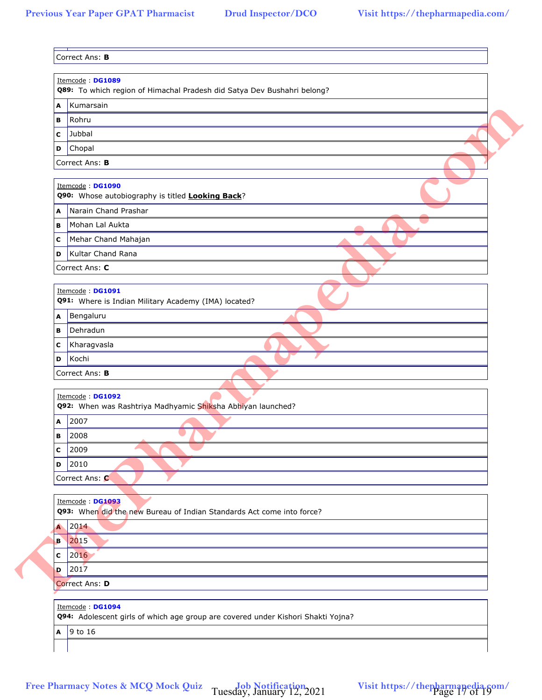| A | Kumarsain                                                                                            |
|---|------------------------------------------------------------------------------------------------------|
| В | Rohru                                                                                                |
| C | Jubbal                                                                                               |
| D | Chopal                                                                                               |
|   | Correct Ans: B                                                                                       |
|   | Itemcode: DG1090<br>Q90: Whose autobiography is titled <b>Looking Back</b> ?                         |
| Α | Narain Chand Prashar                                                                                 |
| в | Mohan Lal Aukta                                                                                      |
| с | Mehar Chand Mahajan                                                                                  |
| D | Kultar Chand Rana                                                                                    |
|   | Correct Ans: C                                                                                       |
|   |                                                                                                      |
|   | Itemcode: DG1091<br>Q91: Where is Indian Military Academy (IMA) located?                             |
|   | A Bengaluru                                                                                          |
| в | Dehradun                                                                                             |
| с | Kharagvasla                                                                                          |
| D | Kochi                                                                                                |
|   | Itemcode: DG1092<br>Q92: When was Rashtriya Madhyamic Shiksha Abhiyan launched?                      |
| Α | 2007                                                                                                 |
| В | 2008                                                                                                 |
| c | 2009                                                                                                 |
| D | 2010                                                                                                 |
|   | Correct Ans: C                                                                                       |
|   |                                                                                                      |
|   | Itemcode : DG1093<br>Q93: When did the new Bureau of Indian Standards Act come into force?           |
|   | A 2014                                                                                               |
| B | 2015                                                                                                 |
| с | 2016                                                                                                 |
| D | 2017                                                                                                 |
|   | Correct Ans: D                                                                                       |
|   | Itemcode: DG1094<br>Q94: Adolescent girls of which age group are covered under Kishori Shakti Yojna? |
|   | A 9 to 16                                                                                            |
|   |                                                                                                      |

Tuesday, January 12, 2021 Visit https://thepharmapedia.com/<br>Page 17 of 19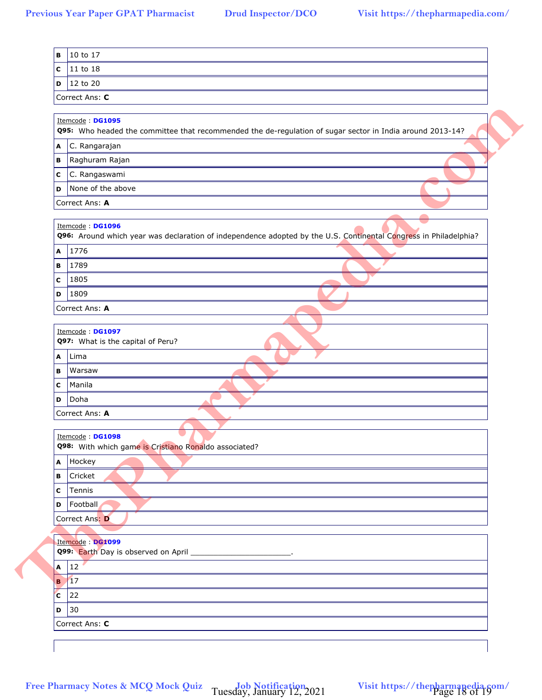|                  | Correct Ans: C                                                                                                   |
|------------------|------------------------------------------------------------------------------------------------------------------|
|                  |                                                                                                                  |
|                  | Itemcode: DG1095                                                                                                 |
|                  | Q95: Who headed the committee that recommended the de-regulation of sugar sector in India around 2013-14?        |
| A                | C. Rangarajan                                                                                                    |
| в                | Raghuram Rajan                                                                                                   |
| с                | C. Rangaswami                                                                                                    |
| D                | None of the above                                                                                                |
|                  | Correct Ans: A                                                                                                   |
|                  | Itemcode: DG1096                                                                                                 |
|                  | Q96: Around which year was declaration of independence adopted by the U.S. Continental Congress in Philadelphia? |
|                  | A 1776                                                                                                           |
| в                | 1789                                                                                                             |
| С                | 1805                                                                                                             |
| D                | 1809                                                                                                             |
|                  | Correct Ans: A                                                                                                   |
| A<br>в           | Lima<br>Warsaw                                                                                                   |
| C                | Manila                                                                                                           |
| D                | Doha                                                                                                             |
|                  | Correct Ans: A                                                                                                   |
|                  |                                                                                                                  |
|                  |                                                                                                                  |
|                  | Itemcode: DG1098<br>Q98: With which game is Cristiano Ronaldo associated?                                        |
|                  | Hockey                                                                                                           |
|                  | Cricket                                                                                                          |
|                  | Tennis                                                                                                           |
| A<br>В<br>C<br>D | Football                                                                                                         |
|                  | Correct Ans: D                                                                                                   |
|                  |                                                                                                                  |
|                  | Itemcode : DG1099                                                                                                |
|                  | Q99: Earth Day is observed on April _________________________.                                                   |
|                  | $12^{\circ}$                                                                                                     |
| $\mathbf{A}$     | $B$ 17                                                                                                           |
| C                | 22                                                                                                               |
|                  | D 30<br>Correct Ans: C                                                                                           |

Tuesday, January 12, 2021 Visit https://thepharmapedia.com/<br>Page 18 of 19